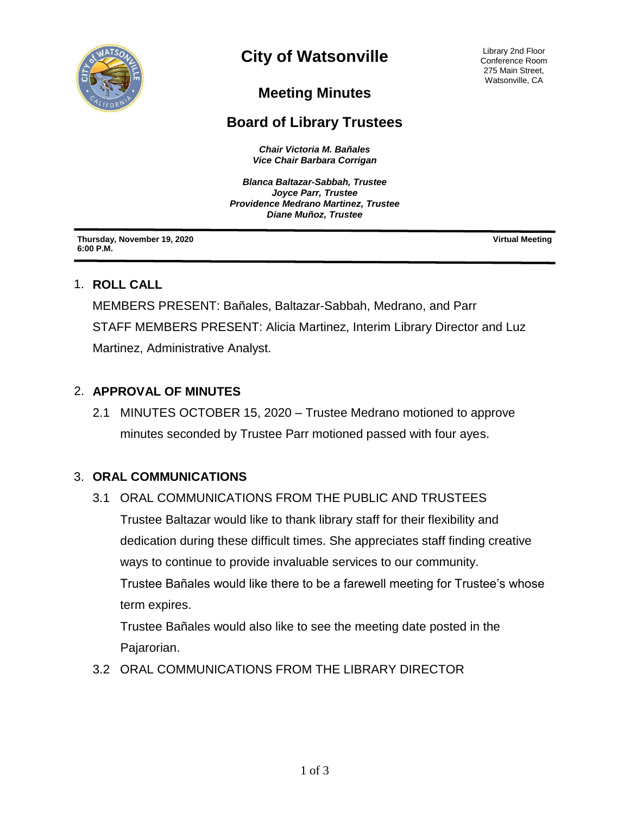

# **City of Watsonville**

Library 2nd Floor Conference Room 275 Main Street, Watsonville, CA

## **Meeting Minutes**

## **Board of Library Trustees**

*Chair Victoria M. Bañales Vice Chair Barbara Corrigan*

*Blanca Baltazar-Sabbah, Trustee Joyce Parr, Trustee Providence Medrano Martinez, Trustee Diane Muñoz, Trustee*

**Thursday, November 19, 2020 6:00 P.M.**

**Virtual Meeting**

#### 1. **ROLL CALL**

MEMBERS PRESENT: Bañales, Baltazar-Sabbah, Medrano, and Parr STAFF MEMBERS PRESENT: Alicia Martinez, Interim Library Director and Luz Martinez, Administrative Analyst.

#### 2. **APPROVAL OF MINUTES**

2.1 MINUTES OCTOBER 15, 2020 – Trustee Medrano motioned to approve minutes seconded by Trustee Parr motioned passed with four ayes.

#### 3. **ORAL COMMUNICATIONS**

3.1ORAL COMMUNICATIONS FROM THE PUBLIC AND TRUSTEES Trustee Baltazar would like to thank library staff for their flexibility and dedication during these difficult times. She appreciates staff finding creative ways to continue to provide invaluable services to our community. Trustee Bañales would like there to be a farewell meeting for Trustee's whose term expires.

Trustee Bañales would also like to see the meeting date posted in the Pajarorian.

3.2ORAL COMMUNICATIONS FROM THE LIBRARY DIRECTOR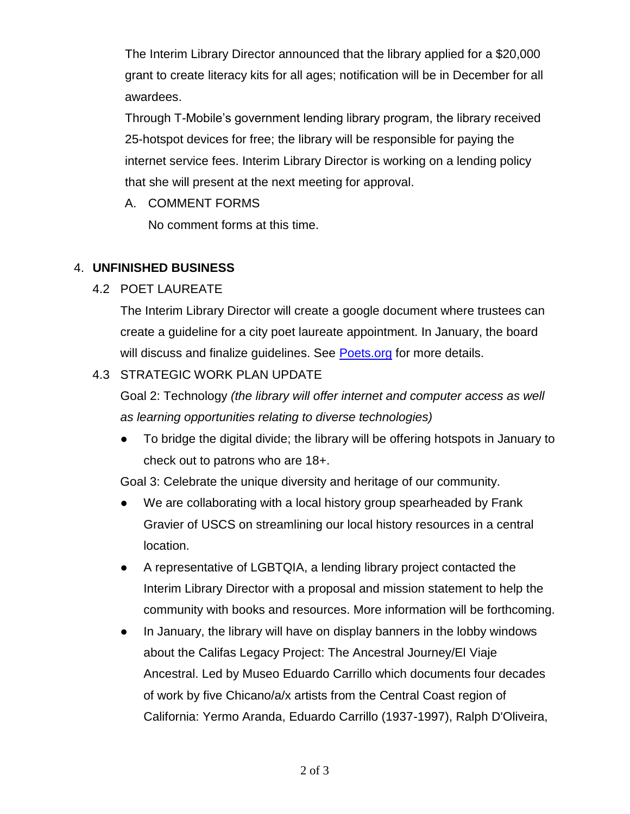The Interim Library Director announced that the library applied for a \$20,000 grant to create literacy kits for all ages; notification will be in December for all awardees.

Through T-Mobile's government lending library program, the library received 25-hotspot devices for free; the library will be responsible for paying the internet service fees. Interim Library Director is working on a lending policy that she will present at the next meeting for approval.

A. COMMENT FORMS

No comment forms at this time.

#### 4. **UNFINISHED BUSINESS**

#### 4.2 POET LAUREATE

The Interim Library Director will create a google document where trustees can create a guideline for a city poet laureate appointment. In January, the board will discuss and finalize quidelines. See [Poets.org](https://poets.org/text/creating-poets-laureate-positions-states-cities-us-territories-and-tribal-nations) for more details.

### 4.3 STRATEGIC WORK PLAN UPDATE

Goal 2: Technology *(the library will offer internet and computer access as well as learning opportunities relating to diverse technologies)*

● To bridge the digital divide; the library will be offering hotspots in January to check out to patrons who are 18+.

Goal 3: Celebrate the unique diversity and heritage of our community.

- We are collaborating with a local history group spearheaded by Frank Gravier of USCS on streamlining our local history resources in a central location.
- A representative of LGBTQIA, a lending library project contacted the Interim Library Director with a proposal and mission statement to help the community with books and resources. More information will be forthcoming.
- In January, the library will have on display banners in the lobby windows about the Califas Legacy Project: The Ancestral Journey/El Viaje Ancestral. Led by Museo Eduardo Carrillo which documents four decades of work by five Chicano/a/x artists from the Central Coast region of California: Yermo Aranda, Eduardo Carrillo (1937-1997), Ralph D'Oliveira,